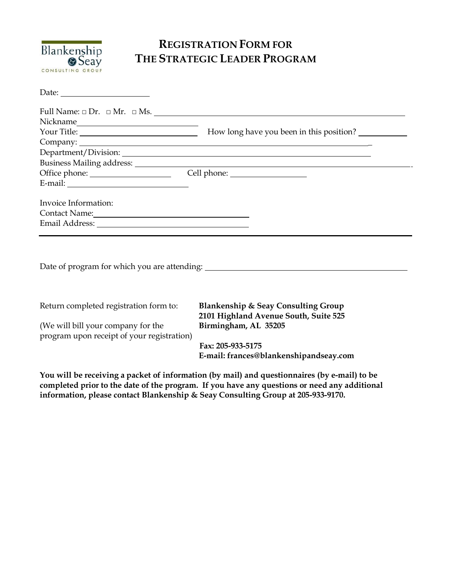

## **REGISTRATION FORM FOR THE STRATEGIC LEADER PROGRAM**

| Full Name: $\Box$ Dr. $\Box$ Mr. $\Box$ Ms.    |
|------------------------------------------------|
|                                                |
|                                                |
|                                                |
|                                                |
|                                                |
|                                                |
|                                                |
|                                                |
|                                                |
| Contact Name: 1988                             |
|                                                |
|                                                |
| <b>Blankenship &amp; Seay Consulting Group</b> |
|                                                |

**You will be receiving a packet of information (by mail) and questionnaires (by e-mail) to be completed prior to the date of the program. If you have any questions or need any additional information, please contact Blankenship & Seay Consulting Group at 205-933-9170.**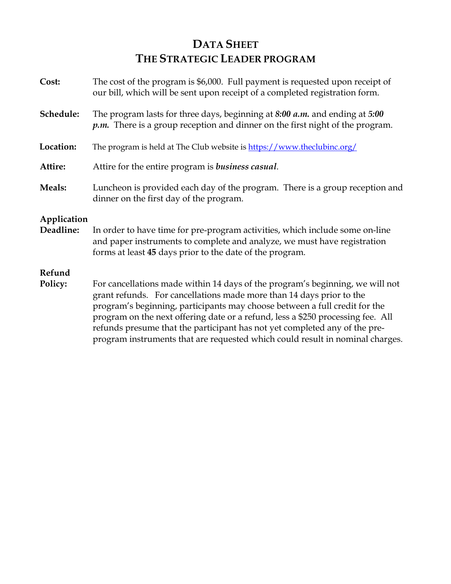## **DATA SHEET THE STRATEGIC LEADER PROGRAM**

| The cost of the program is \$6,000. Full payment is requested upon receipt of<br>our bill, which will be sent upon receipt of a completed registration form.                                                                                                                                                                                                                                                                                                                          |
|---------------------------------------------------------------------------------------------------------------------------------------------------------------------------------------------------------------------------------------------------------------------------------------------------------------------------------------------------------------------------------------------------------------------------------------------------------------------------------------|
| The program lasts for three days, beginning at 8:00 a.m. and ending at 5:00<br>$p.m.$ There is a group reception and dinner on the first night of the program.                                                                                                                                                                                                                                                                                                                        |
| The program is held at The Club website is https://www.theclubinc.org/                                                                                                                                                                                                                                                                                                                                                                                                                |
| Attire for the entire program is <i>business casual</i> .                                                                                                                                                                                                                                                                                                                                                                                                                             |
| Luncheon is provided each day of the program. There is a group reception and<br>dinner on the first day of the program.                                                                                                                                                                                                                                                                                                                                                               |
| In order to have time for pre-program activities, which include some on-line<br>and paper instruments to complete and analyze, we must have registration<br>forms at least 45 days prior to the date of the program.                                                                                                                                                                                                                                                                  |
| For cancellations made within 14 days of the program's beginning, we will not<br>grant refunds. For cancellations made more than 14 days prior to the<br>program's beginning, participants may choose between a full credit for the<br>program on the next offering date or a refund, less a \$250 processing fee. All<br>refunds presume that the participant has not yet completed any of the pre-<br>program instruments that are requested which could result in nominal charges. |
|                                                                                                                                                                                                                                                                                                                                                                                                                                                                                       |